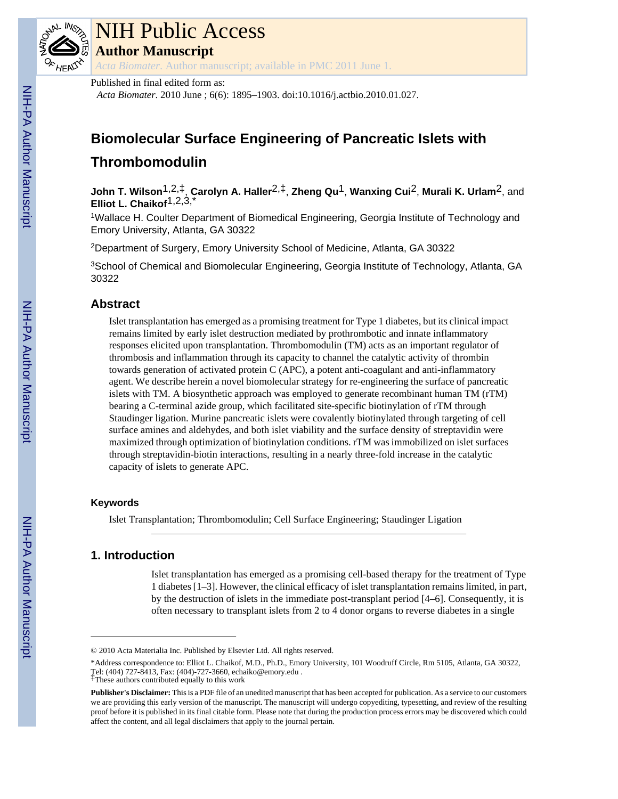

# NIH Public Access

**Author Manuscript**

*Acta Biomater*. Author manuscript; available in PMC 2011 June 1.

Published in final edited form as:

*Acta Biomater*. 2010 June ; 6(6): 1895–1903. doi:10.1016/j.actbio.2010.01.027.

# **Biomolecular Surface Engineering of Pancreatic Islets with Thrombomodulin**

**John T. Wilson**1,2,‡, **Carolyn A. Haller**2,‡, **Zheng Qu**1, **Wanxing Cui**2, **Murali K. Urlam**2, and **Elliot L. Chaikof**1,2,3,\*

<sup>1</sup>Wallace H. Coulter Department of Biomedical Engineering, Georgia Institute of Technology and Emory University, Atlanta, GA 30322

<sup>2</sup>Department of Surgery, Emory University School of Medicine, Atlanta, GA 30322

<sup>3</sup>School of Chemical and Biomolecular Engineering, Georgia Institute of Technology, Atlanta, GA 30322

# **Abstract**

Islet transplantation has emerged as a promising treatment for Type 1 diabetes, but its clinical impact remains limited by early islet destruction mediated by prothrombotic and innate inflammatory responses elicited upon transplantation. Thrombomodulin (TM) acts as an important regulator of thrombosis and inflammation through its capacity to channel the catalytic activity of thrombin towards generation of activated protein C (APC), a potent anti-coagulant and anti-inflammatory agent. We describe herein a novel biomolecular strategy for re-engineering the surface of pancreatic islets with TM. A biosynthetic approach was employed to generate recombinant human TM (rTM) bearing a C-terminal azide group, which facilitated site-specific biotinylation of rTM through Staudinger ligation. Murine pancreatic islets were covalently biotinylated through targeting of cell surface amines and aldehydes, and both islet viability and the surface density of streptavidin were maximized through optimization of biotinylation conditions. rTM was immobilized on islet surfaces through streptavidin-biotin interactions, resulting in a nearly three-fold increase in the catalytic capacity of islets to generate APC.

# **Keywords**

Islet Transplantation; Thrombomodulin; Cell Surface Engineering; Staudinger Ligation

# **1. Introduction**

Islet transplantation has emerged as a promising cell-based therapy for the treatment of Type 1 diabetes [1–3]. However, the clinical efficacy of islet transplantation remains limited, in part, by the destruction of islets in the immediate post-transplant period [4–6]. Consequently, it is often necessary to transplant islets from 2 to 4 donor organs to reverse diabetes in a single

<sup>© 2010</sup> Acta Materialia Inc. Published by Elsevier Ltd. All rights reserved.

<sup>\*</sup>Address correspondence to: Elliot L. Chaikof, M.D., Ph.D., Emory University, 101 Woodruff Circle, Rm 5105, Atlanta, GA 30322, Tel: (404) 727-8413, Fax: (404)-727-3660, echaiko@emory.edu .

<sup>‡</sup>These authors contributed equally to this work

**Publisher's Disclaimer:** This is a PDF file of an unedited manuscript that has been accepted for publication. As a service to our customers we are providing this early version of the manuscript. The manuscript will undergo copyediting, typesetting, and review of the resulting proof before it is published in its final citable form. Please note that during the production process errors may be discovered which could affect the content, and all legal disclaimers that apply to the journal pertain.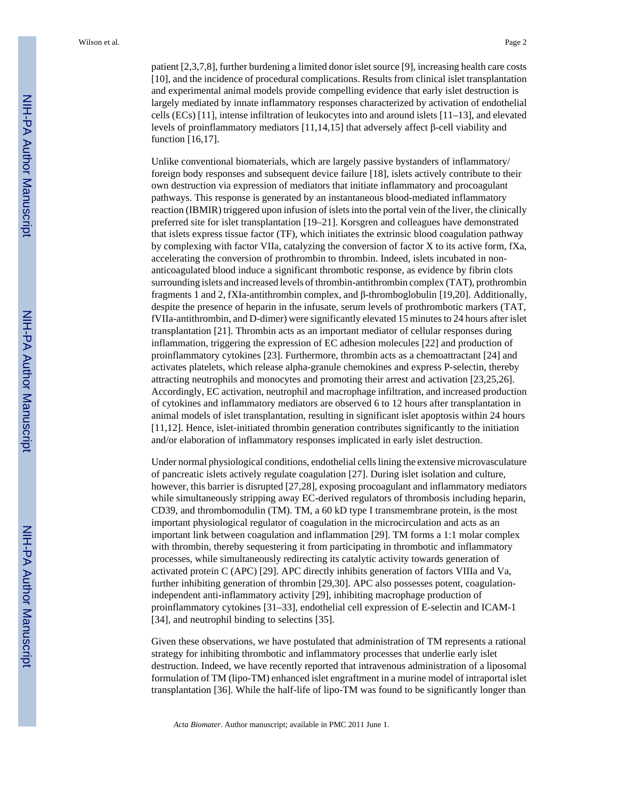patient [2,3,7,8], further burdening a limited donor islet source [9], increasing health care costs [10], and the incidence of procedural complications. Results from clinical islet transplantation and experimental animal models provide compelling evidence that early islet destruction is largely mediated by innate inflammatory responses characterized by activation of endothelial cells (ECs) [11], intense infiltration of leukocytes into and around islets [11–13], and elevated levels of proinflammatory mediators [11,14,15] that adversely affect β-cell viability and function [16,17].

Unlike conventional biomaterials, which are largely passive bystanders of inflammatory/ foreign body responses and subsequent device failure [18], islets actively contribute to their own destruction via expression of mediators that initiate inflammatory and procoagulant pathways. This response is generated by an instantaneous blood-mediated inflammatory reaction (IBMIR) triggered upon infusion of islets into the portal vein of the liver, the clinically preferred site for islet transplantation [19–21]. Korsgren and colleagues have demonstrated that islets express tissue factor (TF), which initiates the extrinsic blood coagulation pathway by complexing with factor VIIa, catalyzing the conversion of factor X to its active form, fXa, accelerating the conversion of prothrombin to thrombin. Indeed, islets incubated in nonanticoagulated blood induce a significant thrombotic response, as evidence by fibrin clots surrounding islets and increased levels of thrombin-antithrombin complex (TAT), prothrombin fragments 1 and 2, fXIa-antithrombin complex, and β-thromboglobulin [19,20]. Additionally, despite the presence of heparin in the infusate, serum levels of prothrombotic markers (TAT, fVIIa-antithrombin, and D-dimer) were significantly elevated 15 minutes to 24 hours after islet transplantation [21]. Thrombin acts as an important mediator of cellular responses during inflammation, triggering the expression of EC adhesion molecules [22] and production of proinflammatory cytokines [23]. Furthermore, thrombin acts as a chemoattractant [24] and activates platelets, which release alpha-granule chemokines and express P-selectin, thereby attracting neutrophils and monocytes and promoting their arrest and activation [23,25,26]. Accordingly, EC activation, neutrophil and macrophage infiltration, and increased production of cytokines and inflammatory mediators are observed 6 to 12 hours after transplantation in animal models of islet transplantation, resulting in significant islet apoptosis within 24 hours [11,12]. Hence, islet-initiated thrombin generation contributes significantly to the initiation and/or elaboration of inflammatory responses implicated in early islet destruction.

Under normal physiological conditions, endothelial cells lining the extensive microvasculature of pancreatic islets actively regulate coagulation [27]. During islet isolation and culture, however, this barrier is disrupted [27,28], exposing procoagulant and inflammatory mediators while simultaneously stripping away EC-derived regulators of thrombosis including heparin, CD39, and thrombomodulin (TM). TM, a 60 kD type I transmembrane protein, is the most important physiological regulator of coagulation in the microcirculation and acts as an important link between coagulation and inflammation [29]. TM forms a 1:1 molar complex with thrombin, thereby sequestering it from participating in thrombotic and inflammatory processes, while simultaneously redirecting its catalytic activity towards generation of activated protein C (APC) [29]. APC directly inhibits generation of factors VIIIa and Va, further inhibiting generation of thrombin [29,30]. APC also possesses potent, coagulationindependent anti-inflammatory activity [29], inhibiting macrophage production of proinflammatory cytokines [31–33], endothelial cell expression of E-selectin and ICAM-1 [34], and neutrophil binding to selectins [35].

Given these observations, we have postulated that administration of TM represents a rational strategy for inhibiting thrombotic and inflammatory processes that underlie early islet destruction. Indeed, we have recently reported that intravenous administration of a liposomal formulation of TM (lipo-TM) enhanced islet engraftment in a murine model of intraportal islet transplantation [36]. While the half-life of lipo-TM was found to be significantly longer than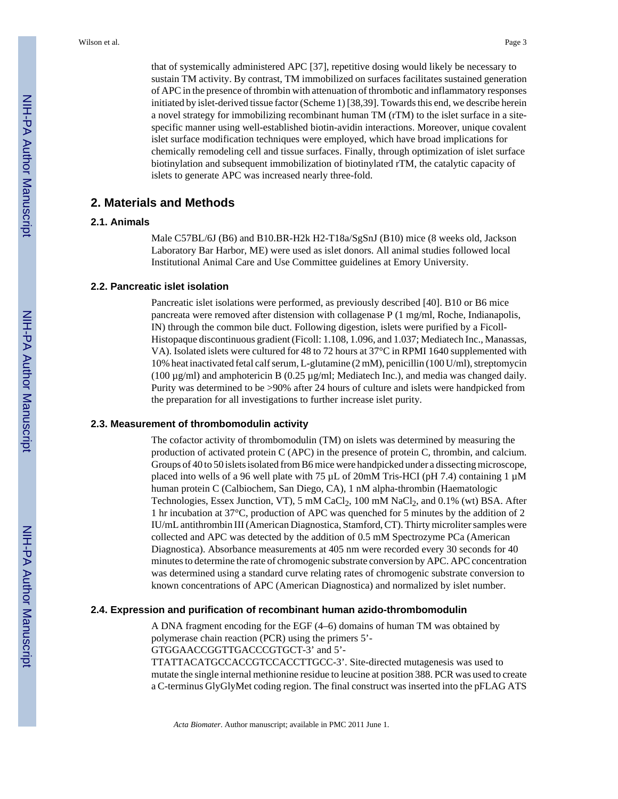that of systemically administered APC [37], repetitive dosing would likely be necessary to sustain TM activity. By contrast, TM immobilized on surfaces facilitates sustained generation of APC in the presence of thrombin with attenuation of thrombotic and inflammatory responses initiated by islet-derived tissue factor (Scheme 1) [38,39]. Towards this end, we describe herein a novel strategy for immobilizing recombinant human TM (rTM) to the islet surface in a sitespecific manner using well-established biotin-avidin interactions. Moreover, unique covalent islet surface modification techniques were employed, which have broad implications for chemically remodeling cell and tissue surfaces. Finally, through optimization of islet surface biotinylation and subsequent immobilization of biotinylated rTM, the catalytic capacity of islets to generate APC was increased nearly three-fold.

# **2. Materials and Methods**

#### **2.1. Animals**

Male C57BL/6J (B6) and B10.BR-H2k H2-T18a/SgSnJ (B10) mice (8 weeks old, Jackson Laboratory Bar Harbor, ME) were used as islet donors. All animal studies followed local Institutional Animal Care and Use Committee guidelines at Emory University.

#### **2.2. Pancreatic islet isolation**

Pancreatic islet isolations were performed, as previously described [40]. B10 or B6 mice pancreata were removed after distension with collagenase P (1 mg/ml, Roche, Indianapolis, IN) through the common bile duct. Following digestion, islets were purified by a Ficoll-Histopaque discontinuous gradient (Ficoll: 1.108, 1.096, and 1.037; Mediatech Inc., Manassas, VA). Isolated islets were cultured for 48 to 72 hours at 37°C in RPMI 1640 supplemented with 10% heat inactivated fetal calf serum, L-glutamine (2 mM), penicillin (100 U/ml), streptomycin (100 µg/ml) and amphotericin B (0.25 µg/ml; Mediatech Inc.), and media was changed daily. Purity was determined to be >90% after 24 hours of culture and islets were handpicked from the preparation for all investigations to further increase islet purity.

#### **2.3. Measurement of thrombomodulin activity**

The cofactor activity of thrombomodulin (TM) on islets was determined by measuring the production of activated protein C (APC) in the presence of protein C, thrombin, and calcium. Groups of 40 to 50 islets isolated from B6 mice were handpicked under a dissecting microscope, placed into wells of a 96 well plate with 75  $\mu$ L of 20mM Tris-HCI (pH 7.4) containing 1  $\mu$ M human protein C (Calbiochem, San Diego, CA), 1 nM alpha-thrombin (Haematologic Technologies, Essex Junction, VT),  $5 \text{ mM }$ CaCl<sub>2</sub>,  $100 \text{ mM }$ NaCl<sub>2</sub>, and  $0.1\%$  (wt) BSA. After 1 hr incubation at 37°C, production of APC was quenched for 5 minutes by the addition of 2 IU/mL antithrombin III (American Diagnostica, Stamford, CT). Thirty microliter samples were collected and APC was detected by the addition of 0.5 mM Spectrozyme PCa (American Diagnostica). Absorbance measurements at 405 nm were recorded every 30 seconds for 40 minutes to determine the rate of chromogenic substrate conversion by APC. APC concentration was determined using a standard curve relating rates of chromogenic substrate conversion to known concentrations of APC (American Diagnostica) and normalized by islet number.

#### **2.4. Expression and purification of recombinant human azido-thrombomodulin**

A DNA fragment encoding for the EGF (4–6) domains of human TM was obtained by polymerase chain reaction (PCR) using the primers 5'-

GTGGAACCGGTTGACCCGTGCT-3' and 5'-

TTATTACATGCCACCGTCCACCTTGCC-3'. Site-directed mutagenesis was used to mutate the single internal methionine residue to leucine at position 388. PCR was used to create a C-terminus GlyGlyMet coding region. The final construct was inserted into the pFLAG ATS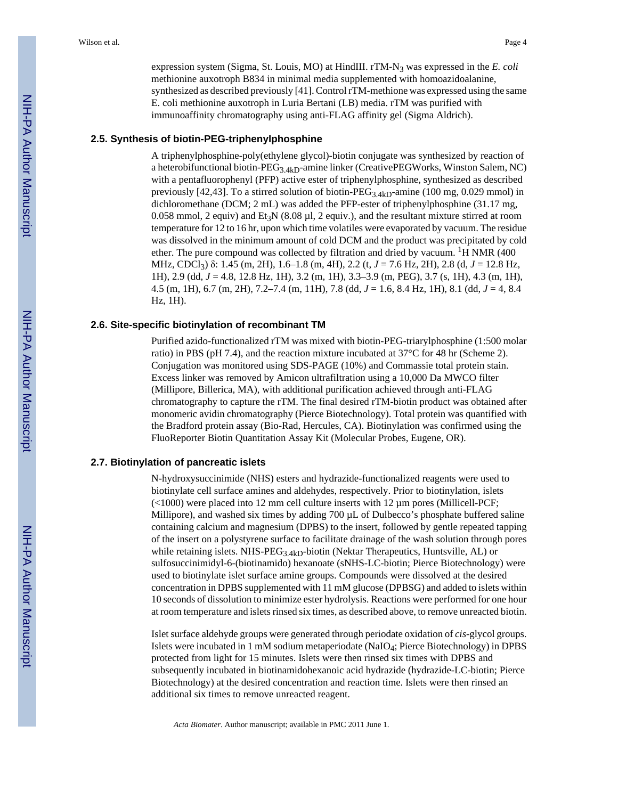expression system (Sigma, St. Louis, MO) at HindIII. rTM-N<sub>3</sub> was expressed in the *E. coli* methionine auxotroph B834 in minimal media supplemented with homoazidoalanine, synthesized as described previously [41]. Control rTM-methione was expressed using the same E. coli methionine auxotroph in Luria Bertani (LB) media. rTM was purified with immunoaffinity chromatography using anti-FLAG affinity gel (Sigma Aldrich).

#### **2.5. Synthesis of biotin-PEG-triphenylphosphine**

A triphenylphosphine-poly(ethylene glycol)-biotin conjugate was synthesized by reaction of a heterobifunctional biotin-PEG3.4kD-amine linker (CreativePEGWorks, Winston Salem, NC) with a pentafluorophenyl (PFP) active ester of triphenylphosphine, synthesized as described previously [42,43]. To a stirred solution of biotin-PEG<sub>3.4kD</sub>-amine (100 mg, 0.029 mmol) in dichloromethane (DCM; 2 mL) was added the PFP-ester of triphenylphosphine (31.17 mg, 0.058 mmol, 2 equiv) and Et<sub>3</sub>N (8.08  $\mu$ l, 2 equiv.), and the resultant mixture stirred at room temperature for 12 to 16 hr, upon which time volatiles were evaporated by vacuum. The residue was dissolved in the minimum amount of cold DCM and the product was precipitated by cold ether. The pure compound was collected by filtration and dried by vacuum.  ${}^{1}$ H NMR (400) MHz, CDCl3) δ: 1.45 (m, 2H), 1.6–1.8 (m, 4H), 2.2 (t, *J* = 7.6 Hz, 2H), 2.8 (d, *J* = 12.8 Hz, 1H), 2.9 (dd, *J* = 4.8, 12.8 Hz, 1H), 3.2 (m, 1H), 3.3–3.9 (m, PEG), 3.7 (s, 1H), 4.3 (m, 1H), 4.5 (m, 1H), 6.7 (m, 2H), 7.2–7.4 (m, 11H), 7.8 (dd, *J* = 1.6, 8.4 Hz, 1H), 8.1 (dd, *J* = 4, 8.4 Hz, 1H).

#### **2.6. Site-specific biotinylation of recombinant TM**

Purified azido-functionalized rTM was mixed with biotin-PEG-triarylphosphine (1:500 molar ratio) in PBS (pH 7.4), and the reaction mixture incubated at 37°C for 48 hr (Scheme 2). Conjugation was monitored using SDS-PAGE (10%) and Commassie total protein stain. Excess linker was removed by Amicon ultrafiltration using a 10,000 Da MWCO filter (Millipore, Billerica, MA), with additional purification achieved through anti-FLAG chromatography to capture the rTM. The final desired rTM-biotin product was obtained after monomeric avidin chromatography (Pierce Biotechnology). Total protein was quantified with the Bradford protein assay (Bio-Rad, Hercules, CA). Biotinylation was confirmed using the FluoReporter Biotin Quantitation Assay Kit (Molecular Probes, Eugene, OR).

#### **2.7. Biotinylation of pancreatic islets**

N-hydroxysuccinimide (NHS) esters and hydrazide-functionalized reagents were used to biotinylate cell surface amines and aldehydes, respectively. Prior to biotinylation, islets  $\left($  <1000) were placed into 12 mm cell culture inserts with 12 µm pores (Millicell-PCF; Millipore), and washed six times by adding 700 µL of Dulbecco's phosphate buffered saline containing calcium and magnesium (DPBS) to the insert, followed by gentle repeated tapping of the insert on a polystyrene surface to facilitate drainage of the wash solution through pores while retaining islets. NHS-PEG<sub>3.4kD</sub>-biotin (Nektar Therapeutics, Huntsville, AL) or sulfosuccinimidyl-6-(biotinamido) hexanoate (sNHS-LC-biotin; Pierce Biotechnology) were used to biotinylate islet surface amine groups. Compounds were dissolved at the desired concentration in DPBS supplemented with 11 mM glucose (DPBSG) and added to islets within 10 seconds of dissolution to minimize ester hydrolysis. Reactions were performed for one hour at room temperature and islets rinsed six times, as described above, to remove unreacted biotin.

Islet surface aldehyde groups were generated through periodate oxidation of *cis*-glycol groups. Islets were incubated in 1 mM sodium metaperiodate (NaIO4; Pierce Biotechnology) in DPBS protected from light for 15 minutes. Islets were then rinsed six times with DPBS and subsequently incubated in biotinamidohexanoic acid hydrazide (hydrazide-LC-biotin; Pierce Biotechnology) at the desired concentration and reaction time. Islets were then rinsed an additional six times to remove unreacted reagent.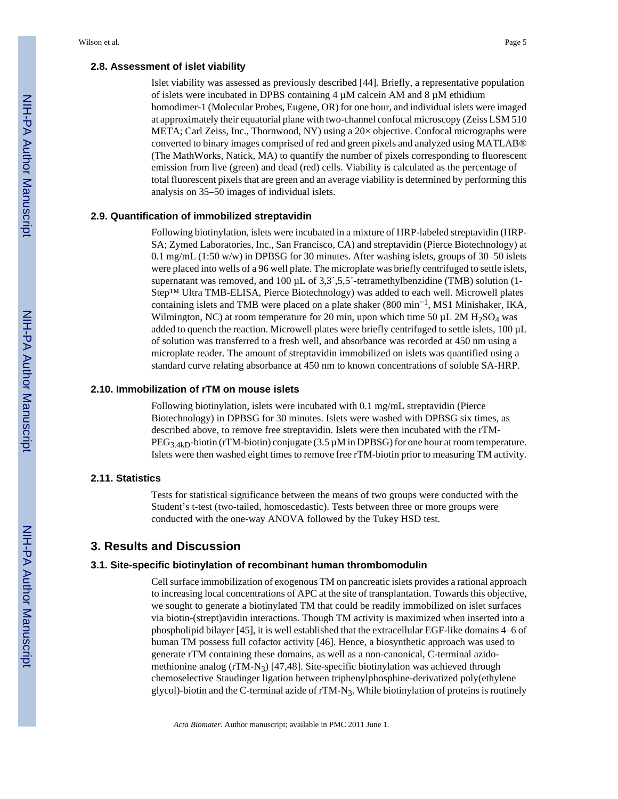#### **2.8. Assessment of islet viability**

Islet viability was assessed as previously described [44]. Briefly, a representative population of islets were incubated in DPBS containing  $4 \mu$ M calcein AM and  $8 \mu$ M ethidium homodimer-1 (Molecular Probes, Eugene, OR) for one hour, and individual islets were imaged at approximately their equatorial plane with two-channel confocal microscopy (Zeiss LSM 510 META; Carl Zeiss, Inc., Thornwood, NY) using a 20× objective. Confocal micrographs were converted to binary images comprised of red and green pixels and analyzed using MATLAB® (The MathWorks, Natick, MA) to quantify the number of pixels corresponding to fluorescent emission from live (green) and dead (red) cells. Viability is calculated as the percentage of total fluorescent pixels that are green and an average viability is determined by performing this analysis on 35–50 images of individual islets.

#### **2.9. Quantification of immobilized streptavidin**

Following biotinylation, islets were incubated in a mixture of HRP-labeled streptavidin (HRP-SA; Zymed Laboratories, Inc., San Francisco, CA) and streptavidin (Pierce Biotechnology) at 0.1 mg/mL (1:50 w/w) in DPBSG for 30 minutes. After washing islets, groups of 30–50 islets were placed into wells of a 96 well plate. The microplate was briefly centrifuged to settle islets, supernatant was removed, and  $100 \mu L$  of  $3,3^{\prime},5,5^{\prime}$ -tetramethylbenzidine (TMB) solution (1-Step™ Ultra TMB-ELISA, Pierce Biotechnology) was added to each well. Microwell plates containing islets and TMB were placed on a plate shaker (800 min−<sup>1</sup> , MS1 Minishaker, IKA, Wilmington, NC) at room temperature for 20 min, upon which time 50  $\mu$ L 2M H<sub>2</sub>SO<sub>4</sub> was added to quench the reaction. Microwell plates were briefly centrifuged to settle islets, 100 µL of solution was transferred to a fresh well, and absorbance was recorded at 450 nm using a microplate reader. The amount of streptavidin immobilized on islets was quantified using a standard curve relating absorbance at 450 nm to known concentrations of soluble SA-HRP.

#### **2.10. Immobilization of rTM on mouse islets**

Following biotinylation, islets were incubated with 0.1 mg/mL streptavidin (Pierce Biotechnology) in DPBSG for 30 minutes. Islets were washed with DPBSG six times, as described above, to remove free streptavidin. Islets were then incubated with the rTM- $PEG_{3.4kD}$ -biotin (rTM-biotin) conjugate (3.5  $\mu$ M in DPBSG) for one hour at room temperature. Islets were then washed eight times to remove free rTM-biotin prior to measuring TM activity.

#### **2.11. Statistics**

Tests for statistical significance between the means of two groups were conducted with the Student's t-test (two-tailed, homoscedastic). Tests between three or more groups were conducted with the one-way ANOVA followed by the Tukey HSD test.

#### **3. Results and Discussion**

#### **3.1. Site-specific biotinylation of recombinant human thrombomodulin**

Cell surface immobilization of exogenous TM on pancreatic islets provides a rational approach to increasing local concentrations of APC at the site of transplantation. Towards this objective, we sought to generate a biotinylated TM that could be readily immobilized on islet surfaces via biotin-(strept)avidin interactions. Though TM activity is maximized when inserted into a phospholipid bilayer [45], it is well established that the extracellular EGF-like domains 4–6 of human TM possess full cofactor activity [46]. Hence, a biosynthetic approach was used to generate rTM containing these domains, as well as a non-canonical, C-terminal azidomethionine analog  $(rTM-N_3)$  [47,48]. Site-specific biotinylation was achieved through chemoselective Staudinger ligation between triphenylphosphine-derivatized poly(ethylene glycol)-biotin and the C-terminal azide of rTM-N<sub>3</sub>. While biotinylation of proteins is routinely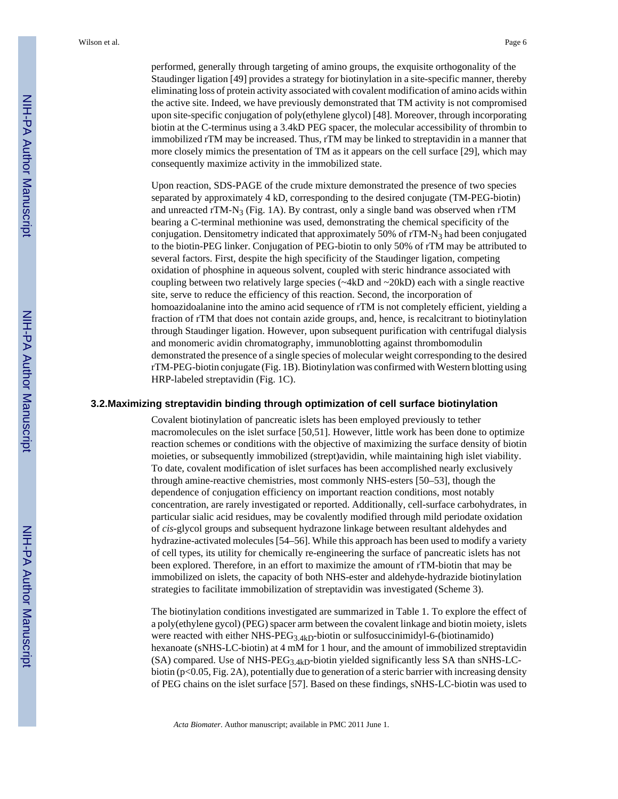performed, generally through targeting of amino groups, the exquisite orthogonality of the Staudinger ligation [49] provides a strategy for biotinylation in a site-specific manner, thereby eliminating loss of protein activity associated with covalent modification of amino acids within the active site. Indeed, we have previously demonstrated that TM activity is not compromised upon site-specific conjugation of poly(ethylene glycol) [48]. Moreover, through incorporating biotin at the C-terminus using a 3.4kD PEG spacer, the molecular accessibility of thrombin to immobilized rTM may be increased. Thus, rTM may be linked to streptavidin in a manner that more closely mimics the presentation of TM as it appears on the cell surface [29], which may consequently maximize activity in the immobilized state.

Upon reaction, SDS-PAGE of the crude mixture demonstrated the presence of two species separated by approximately 4 kD, corresponding to the desired conjugate (TM-PEG-biotin) and unreacted rTM- $N_3$  (Fig. 1A). By contrast, only a single band was observed when rTM bearing a C-terminal methionine was used, demonstrating the chemical specificity of the conjugation. Densitometry indicated that approximately 50% of rTM-N3 had been conjugated to the biotin-PEG linker. Conjugation of PEG-biotin to only 50% of rTM may be attributed to several factors. First, despite the high specificity of the Staudinger ligation, competing oxidation of phosphine in aqueous solvent, coupled with steric hindrance associated with coupling between two relatively large species  $(\sim 4kD$  and  $\sim 20kD)$  each with a single reactive site, serve to reduce the efficiency of this reaction. Second, the incorporation of homoazidoalanine into the amino acid sequence of rTM is not completely efficient, yielding a fraction of rTM that does not contain azide groups, and, hence, is recalcitrant to biotinylation through Staudinger ligation. However, upon subsequent purification with centrifugal dialysis and monomeric avidin chromatography, immunoblotting against thrombomodulin demonstrated the presence of a single species of molecular weight corresponding to the desired rTM-PEG-biotin conjugate (Fig. 1B). Biotinylation was confirmed with Western blotting using HRP-labeled streptavidin (Fig. 1C).

#### **3.2.Maximizing streptavidin binding through optimization of cell surface biotinylation**

Covalent biotinylation of pancreatic islets has been employed previously to tether macromolecules on the islet surface [50,51]. However, little work has been done to optimize reaction schemes or conditions with the objective of maximizing the surface density of biotin moieties, or subsequently immobilized (strept)avidin, while maintaining high islet viability. To date, covalent modification of islet surfaces has been accomplished nearly exclusively through amine-reactive chemistries, most commonly NHS-esters [50–53], though the dependence of conjugation efficiency on important reaction conditions, most notably concentration, are rarely investigated or reported. Additionally, cell-surface carbohydrates, in particular sialic acid residues, may be covalently modified through mild periodate oxidation of *cis*-glycol groups and subsequent hydrazone linkage between resultant aldehydes and hydrazine-activated molecules [54–56]. While this approach has been used to modify a variety of cell types, its utility for chemically re-engineering the surface of pancreatic islets has not been explored. Therefore, in an effort to maximize the amount of rTM-biotin that may be immobilized on islets, the capacity of both NHS-ester and aldehyde-hydrazide biotinylation strategies to facilitate immobilization of streptavidin was investigated (Scheme 3).

The biotinylation conditions investigated are summarized in Table 1. To explore the effect of a poly(ethylene gycol) (PEG) spacer arm between the covalent linkage and biotin moiety, islets were reacted with either NHS-PEG<sub>3.4kD</sub>-biotin or sulfosuccinimidyl-6-(biotinamido) hexanoate (sNHS-LC-biotin) at 4 mM for 1 hour, and the amount of immobilized streptavidin (SA) compared. Use of NHS-PEG<sub>3.4kD</sub>-biotin yielded significantly less SA than sNHS-LCbiotin ( $p<0.05$ , Fig. 2A), potentially due to generation of a steric barrier with increasing density of PEG chains on the islet surface [57]. Based on these findings, sNHS-LC-biotin was used to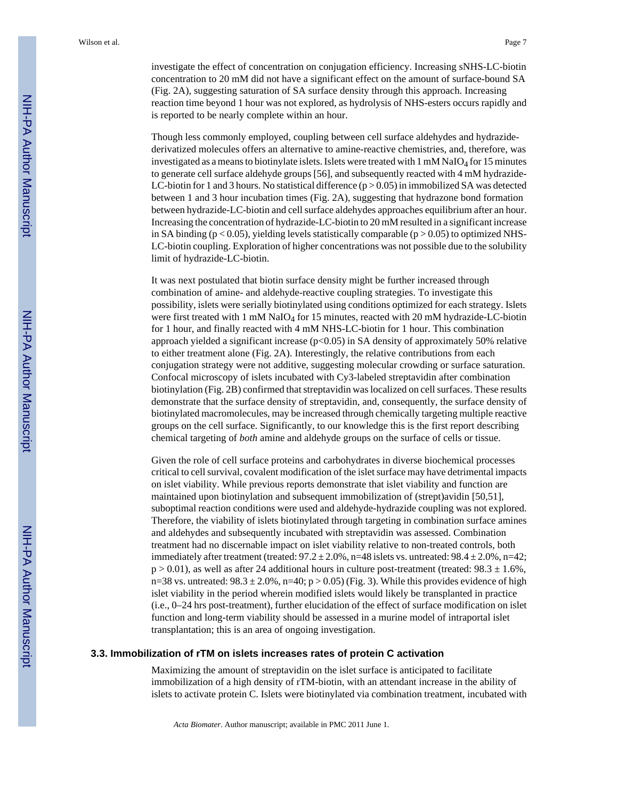investigate the effect of concentration on conjugation efficiency. Increasing sNHS-LC-biotin concentration to 20 mM did not have a significant effect on the amount of surface-bound SA (Fig. 2A), suggesting saturation of SA surface density through this approach. Increasing reaction time beyond 1 hour was not explored, as hydrolysis of NHS-esters occurs rapidly and is reported to be nearly complete within an hour.

Though less commonly employed, coupling between cell surface aldehydes and hydrazidederivatized molecules offers an alternative to amine-reactive chemistries, and, therefore, was investigated as a means to biotinylate islets. Islets were treated with  $1 \text{ mM } \text{NaIO}_4$  for 15 minutes to generate cell surface aldehyde groups [56], and subsequently reacted with 4 mM hydrazide-LC-biotin for 1 and 3 hours. No statistical difference  $(p > 0.05)$  in immobilized SA was detected between 1 and 3 hour incubation times (Fig. 2A), suggesting that hydrazone bond formation between hydrazide-LC-biotin and cell surface aldehydes approaches equilibrium after an hour. Increasing the concentration of hydrazide-LC-biotin to 20 mM resulted in a significant increase in SA binding ( $p < 0.05$ ), yielding levels statistically comparable ( $p > 0.05$ ) to optimized NHS-LC-biotin coupling. Exploration of higher concentrations was not possible due to the solubility limit of hydrazide-LC-biotin.

It was next postulated that biotin surface density might be further increased through combination of amine- and aldehyde-reactive coupling strategies. To investigate this possibility, islets were serially biotinylated using conditions optimized for each strategy. Islets were first treated with 1 mM NaIO<sub>4</sub> for 15 minutes, reacted with 20 mM hydrazide-LC-biotin for 1 hour, and finally reacted with 4 mM NHS-LC-biotin for 1 hour. This combination approach yielded a significant increase  $(p<0.05)$  in SA density of approximately 50% relative to either treatment alone (Fig. 2A). Interestingly, the relative contributions from each conjugation strategy were not additive, suggesting molecular crowding or surface saturation. Confocal microscopy of islets incubated with Cy3-labeled streptavidin after combination biotinylation (Fig. 2B) confirmed that streptavidin was localized on cell surfaces. These results demonstrate that the surface density of streptavidin, and, consequently, the surface density of biotinylated macromolecules, may be increased through chemically targeting multiple reactive groups on the cell surface. Significantly, to our knowledge this is the first report describing chemical targeting of *both* amine and aldehyde groups on the surface of cells or tissue.

Given the role of cell surface proteins and carbohydrates in diverse biochemical processes critical to cell survival, covalent modification of the islet surface may have detrimental impacts on islet viability. While previous reports demonstrate that islet viability and function are maintained upon biotinylation and subsequent immobilization of (strept)avidin [50,51], suboptimal reaction conditions were used and aldehyde-hydrazide coupling was not explored. Therefore, the viability of islets biotinylated through targeting in combination surface amines and aldehydes and subsequently incubated with streptavidin was assessed. Combination treatment had no discernable impact on islet viability relative to non-treated controls, both immediately after treatment (treated:  $97.2 \pm 2.0\%$ , n=48 islets vs. untreated:  $98.4 \pm 2.0\%$ , n=42;  $p > 0.01$ , as well as after 24 additional hours in culture post-treatment (treated: 98.3  $\pm$  1.6%, n=38 vs. untreated:  $98.3 \pm 2.0\%$ , n=40; p > 0.05) (Fig. 3). While this provides evidence of high islet viability in the period wherein modified islets would likely be transplanted in practice (i.e., 0–24 hrs post-treatment), further elucidation of the effect of surface modification on islet function and long-term viability should be assessed in a murine model of intraportal islet transplantation; this is an area of ongoing investigation.

#### **3.3. Immobilization of rTM on islets increases rates of protein C activation**

Maximizing the amount of streptavidin on the islet surface is anticipated to facilitate immobilization of a high density of rTM-biotin, with an attendant increase in the ability of islets to activate protein C. Islets were biotinylated via combination treatment, incubated with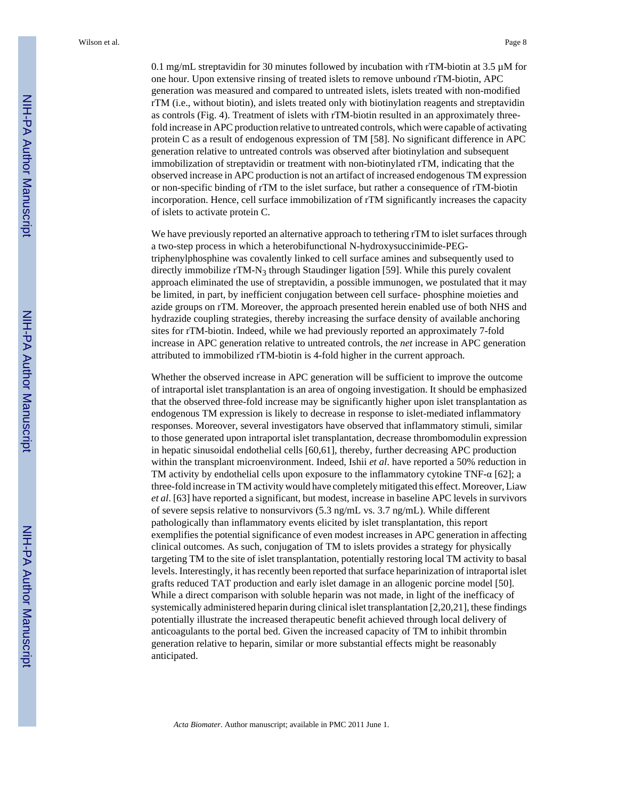0.1 mg/mL streptavidin for 30 minutes followed by incubation with rTM-biotin at 3.5 µM for one hour. Upon extensive rinsing of treated islets to remove unbound rTM-biotin, APC generation was measured and compared to untreated islets, islets treated with non-modified rTM (i.e., without biotin), and islets treated only with biotinylation reagents and streptavidin as controls (Fig. 4). Treatment of islets with rTM-biotin resulted in an approximately threefold increase in APC production relative to untreated controls, which were capable of activating protein C as a result of endogenous expression of TM [58]. No significant difference in APC generation relative to untreated controls was observed after biotinylation and subsequent immobilization of streptavidin or treatment with non-biotinylated rTM, indicating that the observed increase in APC production is not an artifact of increased endogenous TM expression or non-specific binding of rTM to the islet surface, but rather a consequence of rTM-biotin incorporation. Hence, cell surface immobilization of rTM significantly increases the capacity of islets to activate protein C.

We have previously reported an alternative approach to tethering rTM to islet surfaces through a two-step process in which a heterobifunctional N-hydroxysuccinimide-PEGtriphenylphosphine was covalently linked to cell surface amines and subsequently used to directly immobilize rTM-N<sub>3</sub> through Staudinger ligation [59]. While this purely covalent approach eliminated the use of streptavidin, a possible immunogen, we postulated that it may be limited, in part, by inefficient conjugation between cell surface- phosphine moieties and azide groups on rTM. Moreover, the approach presented herein enabled use of both NHS and hydrazide coupling strategies, thereby increasing the surface density of available anchoring sites for rTM-biotin. Indeed, while we had previously reported an approximately 7-fold increase in APC generation relative to untreated controls, the *net* increase in APC generation attributed to immobilized rTM-biotin is 4-fold higher in the current approach.

Whether the observed increase in APC generation will be sufficient to improve the outcome of intraportal islet transplantation is an area of ongoing investigation. It should be emphasized that the observed three-fold increase may be significantly higher upon islet transplantation as endogenous TM expression is likely to decrease in response to islet-mediated inflammatory responses. Moreover, several investigators have observed that inflammatory stimuli, similar to those generated upon intraportal islet transplantation, decrease thrombomodulin expression in hepatic sinusoidal endothelial cells [60,61], thereby, further decreasing APC production within the transplant microenvironment. Indeed, Ishii *et al.* have reported a 50% reduction in TM activity by endothelial cells upon exposure to the inflammatory cytokine TNF-α [62]; a three-fold increase in TM activity would have completely mitigated this effect. Moreover, Liaw *et al*. [63] have reported a significant, but modest, increase in baseline APC levels in survivors of severe sepsis relative to nonsurvivors (5.3 ng/mL vs. 3.7 ng/mL). While different pathologically than inflammatory events elicited by islet transplantation, this report exemplifies the potential significance of even modest increases in APC generation in affecting clinical outcomes. As such, conjugation of TM to islets provides a strategy for physically targeting TM to the site of islet transplantation, potentially restoring local TM activity to basal levels. Interestingly, it has recently been reported that surface heparinization of intraportal islet grafts reduced TAT production and early islet damage in an allogenic porcine model [50]. While a direct comparison with soluble heparin was not made, in light of the inefficacy of systemically administered heparin during clinical islet transplantation [2,20,21], these findings potentially illustrate the increased therapeutic benefit achieved through local delivery of anticoagulants to the portal bed. Given the increased capacity of TM to inhibit thrombin generation relative to heparin, similar or more substantial effects might be reasonably anticipated.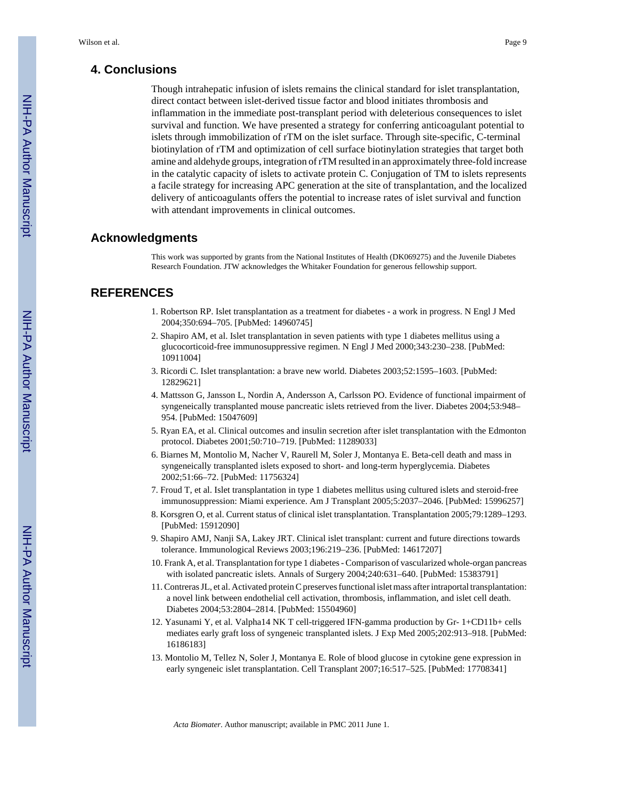# **4. Conclusions**

Though intrahepatic infusion of islets remains the clinical standard for islet transplantation, direct contact between islet-derived tissue factor and blood initiates thrombosis and inflammation in the immediate post-transplant period with deleterious consequences to islet survival and function. We have presented a strategy for conferring anticoagulant potential to islets through immobilization of rTM on the islet surface. Through site-specific, C-terminal biotinylation of rTM and optimization of cell surface biotinylation strategies that target both amine and aldehyde groups, integration of rTM resulted in an approximately three-fold increase in the catalytic capacity of islets to activate protein C. Conjugation of TM to islets represents a facile strategy for increasing APC generation at the site of transplantation, and the localized delivery of anticoagulants offers the potential to increase rates of islet survival and function with attendant improvements in clinical outcomes.

### **Acknowledgments**

This work was supported by grants from the National Institutes of Health (DK069275) and the Juvenile Diabetes Research Foundation. JTW acknowledges the Whitaker Foundation for generous fellowship support.

# **REFERENCES**

- 1. Robertson RP. Islet transplantation as a treatment for diabetes a work in progress. N Engl J Med 2004;350:694–705. [PubMed: 14960745]
- 2. Shapiro AM, et al. Islet transplantation in seven patients with type 1 diabetes mellitus using a glucocorticoid-free immunosuppressive regimen. N Engl J Med 2000;343:230–238. [PubMed: 10911004]
- 3. Ricordi C. Islet transplantation: a brave new world. Diabetes 2003;52:1595–1603. [PubMed: 12829621]
- 4. Mattsson G, Jansson L, Nordin A, Andersson A, Carlsson PO. Evidence of functional impairment of syngeneically transplanted mouse pancreatic islets retrieved from the liver. Diabetes 2004;53:948– 954. [PubMed: 15047609]
- 5. Ryan EA, et al. Clinical outcomes and insulin secretion after islet transplantation with the Edmonton protocol. Diabetes 2001;50:710–719. [PubMed: 11289033]
- 6. Biarnes M, Montolio M, Nacher V, Raurell M, Soler J, Montanya E. Beta-cell death and mass in syngeneically transplanted islets exposed to short- and long-term hyperglycemia. Diabetes 2002;51:66–72. [PubMed: 11756324]
- 7. Froud T, et al. Islet transplantation in type 1 diabetes mellitus using cultured islets and steroid-free immunosuppression: Miami experience. Am J Transplant 2005;5:2037–2046. [PubMed: 15996257]
- 8. Korsgren O, et al. Current status of clinical islet transplantation. Transplantation 2005;79:1289–1293. [PubMed: 15912090]
- 9. Shapiro AMJ, Nanji SA, Lakey JRT. Clinical islet transplant: current and future directions towards tolerance. Immunological Reviews 2003;196:219–236. [PubMed: 14617207]
- 10. Frank A, et al. Transplantation for type 1 diabetes Comparison of vascularized whole-organ pancreas with isolated pancreatic islets. Annals of Surgery 2004;240:631–640. [PubMed: 15383791]
- 11. Contreras JL, et al. Activated protein C preserves functional islet mass after intraportal transplantation: a novel link between endothelial cell activation, thrombosis, inflammation, and islet cell death. Diabetes 2004;53:2804–2814. [PubMed: 15504960]
- 12. Yasunami Y, et al. Valpha14 NK T cell-triggered IFN-gamma production by Gr- 1+CD11b+ cells mediates early graft loss of syngeneic transplanted islets. J Exp Med 2005;202:913–918. [PubMed: 16186183]
- 13. Montolio M, Tellez N, Soler J, Montanya E. Role of blood glucose in cytokine gene expression in early syngeneic islet transplantation. Cell Transplant 2007;16:517–525. [PubMed: 17708341]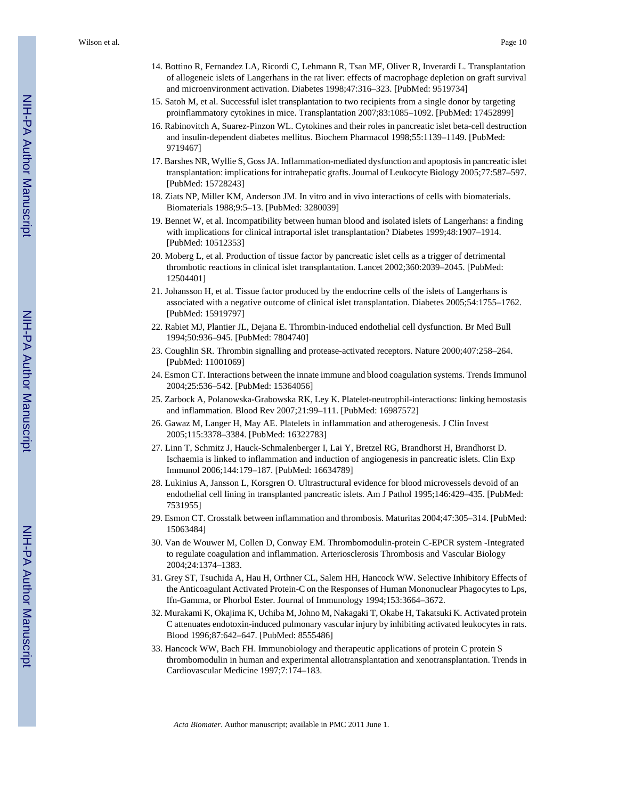- 14. Bottino R, Fernandez LA, Ricordi C, Lehmann R, Tsan MF, Oliver R, Inverardi L. Transplantation of allogeneic islets of Langerhans in the rat liver: effects of macrophage depletion on graft survival and microenvironment activation. Diabetes 1998;47:316–323. [PubMed: 9519734]
- 15. Satoh M, et al. Successful islet transplantation to two recipients from a single donor by targeting proinflammatory cytokines in mice. Transplantation 2007;83:1085–1092. [PubMed: 17452899]
- 16. Rabinovitch A, Suarez-Pinzon WL. Cytokines and their roles in pancreatic islet beta-cell destruction and insulin-dependent diabetes mellitus. Biochem Pharmacol 1998;55:1139–1149. [PubMed: 9719467]
- 17. Barshes NR, Wyllie S, Goss JA. Inflammation-mediated dysfunction and apoptosis in pancreatic islet transplantation: implications for intrahepatic grafts. Journal of Leukocyte Biology 2005;77:587–597. [PubMed: 15728243]
- 18. Ziats NP, Miller KM, Anderson JM. In vitro and in vivo interactions of cells with biomaterials. Biomaterials 1988;9:5–13. [PubMed: 3280039]
- 19. Bennet W, et al. Incompatibility between human blood and isolated islets of Langerhans: a finding with implications for clinical intraportal islet transplantation? Diabetes 1999;48:1907–1914. [PubMed: 10512353]
- 20. Moberg L, et al. Production of tissue factor by pancreatic islet cells as a trigger of detrimental thrombotic reactions in clinical islet transplantation. Lancet 2002;360:2039–2045. [PubMed: 12504401]
- 21. Johansson H, et al. Tissue factor produced by the endocrine cells of the islets of Langerhans is associated with a negative outcome of clinical islet transplantation. Diabetes 2005;54:1755–1762. [PubMed: 15919797]
- 22. Rabiet MJ, Plantier JL, Dejana E. Thrombin-induced endothelial cell dysfunction. Br Med Bull 1994;50:936–945. [PubMed: 7804740]
- 23. Coughlin SR. Thrombin signalling and protease-activated receptors. Nature 2000;407:258–264. [PubMed: 11001069]
- 24. Esmon CT. Interactions between the innate immune and blood coagulation systems. Trends Immunol 2004;25:536–542. [PubMed: 15364056]
- 25. Zarbock A, Polanowska-Grabowska RK, Ley K. Platelet-neutrophil-interactions: linking hemostasis and inflammation. Blood Rev 2007;21:99–111. [PubMed: 16987572]
- 26. Gawaz M, Langer H, May AE. Platelets in inflammation and atherogenesis. J Clin Invest 2005;115:3378–3384. [PubMed: 16322783]
- 27. Linn T, Schmitz J, Hauck-Schmalenberger I, Lai Y, Bretzel RG, Brandhorst H, Brandhorst D. Ischaemia is linked to inflammation and induction of angiogenesis in pancreatic islets. Clin Exp Immunol 2006;144:179–187. [PubMed: 16634789]
- 28. Lukinius A, Jansson L, Korsgren O. Ultrastructural evidence for blood microvessels devoid of an endothelial cell lining in transplanted pancreatic islets. Am J Pathol 1995;146:429–435. [PubMed: 7531955]
- 29. Esmon CT. Crosstalk between inflammation and thrombosis. Maturitas 2004;47:305–314. [PubMed: 15063484]
- 30. Van de Wouwer M, Collen D, Conway EM. Thrombomodulin-protein C-EPCR system -Integrated to regulate coagulation and inflammation. Arteriosclerosis Thrombosis and Vascular Biology 2004;24:1374–1383.
- 31. Grey ST, Tsuchida A, Hau H, Orthner CL, Salem HH, Hancock WW. Selective Inhibitory Effects of the Anticoagulant Activated Protein-C on the Responses of Human Mononuclear Phagocytes to Lps, Ifn-Gamma, or Phorbol Ester. Journal of Immunology 1994;153:3664–3672.
- 32. Murakami K, Okajima K, Uchiba M, Johno M, Nakagaki T, Okabe H, Takatsuki K. Activated protein C attenuates endotoxin-induced pulmonary vascular injury by inhibiting activated leukocytes in rats. Blood 1996;87:642–647. [PubMed: 8555486]
- 33. Hancock WW, Bach FH. Immunobiology and therapeutic applications of protein C protein S thrombomodulin in human and experimental allotransplantation and xenotransplantation. Trends in Cardiovascular Medicine 1997;7:174–183.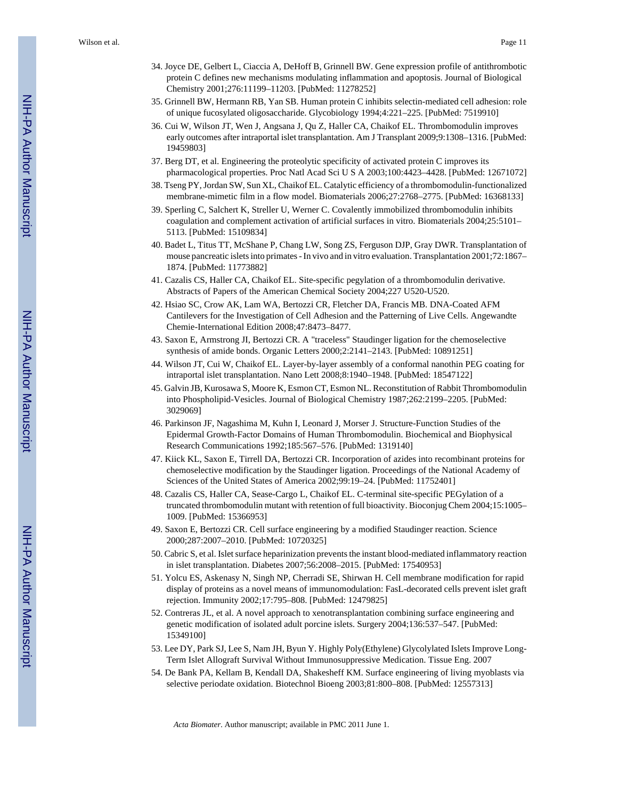- 34. Joyce DE, Gelbert L, Ciaccia A, DeHoff B, Grinnell BW. Gene expression profile of antithrombotic protein C defines new mechanisms modulating inflammation and apoptosis. Journal of Biological Chemistry 2001;276:11199–11203. [PubMed: 11278252]
- 35. Grinnell BW, Hermann RB, Yan SB. Human protein C inhibits selectin-mediated cell adhesion: role of unique fucosylated oligosaccharide. Glycobiology 1994;4:221–225. [PubMed: 7519910]
- 36. Cui W, Wilson JT, Wen J, Angsana J, Qu Z, Haller CA, Chaikof EL. Thrombomodulin improves early outcomes after intraportal islet transplantation. Am J Transplant 2009;9:1308–1316. [PubMed: 19459803]
- 37. Berg DT, et al. Engineering the proteolytic specificity of activated protein C improves its pharmacological properties. Proc Natl Acad Sci U S A 2003;100:4423–4428. [PubMed: 12671072]
- 38. Tseng PY, Jordan SW, Sun XL, Chaikof EL. Catalytic efficiency of a thrombomodulin-functionalized membrane-mimetic film in a flow model. Biomaterials 2006;27:2768–2775. [PubMed: 16368133]
- 39. Sperling C, Salchert K, Streller U, Werner C. Covalently immobilized thrombomodulin inhibits coagulation and complement activation of artificial surfaces in vitro. Biomaterials 2004;25:5101– 5113. [PubMed: 15109834]
- 40. Badet L, Titus TT, McShane P, Chang LW, Song ZS, Ferguson DJP, Gray DWR. Transplantation of mouse pancreatic islets into primates - In vivo and in vitro evaluation. Transplantation 2001;72:1867– 1874. [PubMed: 11773882]
- 41. Cazalis CS, Haller CA, Chaikof EL. Site-specific pegylation of a thrombomodulin derivative. Abstracts of Papers of the American Chemical Society 2004;227 U520-U520.
- 42. Hsiao SC, Crow AK, Lam WA, Bertozzi CR, Fletcher DA, Francis MB. DNA-Coated AFM Cantilevers for the Investigation of Cell Adhesion and the Patterning of Live Cells. Angewandte Chemie-International Edition 2008;47:8473–8477.
- 43. Saxon E, Armstrong JI, Bertozzi CR. A "traceless" Staudinger ligation for the chemoselective synthesis of amide bonds. Organic Letters 2000;2:2141–2143. [PubMed: 10891251]
- 44. Wilson JT, Cui W, Chaikof EL. Layer-by-layer assembly of a conformal nanothin PEG coating for intraportal islet transplantation. Nano Lett 2008;8:1940–1948. [PubMed: 18547122]
- 45. Galvin JB, Kurosawa S, Moore K, Esmon CT, Esmon NL. Reconstitution of Rabbit Thrombomodulin into Phospholipid-Vesicles. Journal of Biological Chemistry 1987;262:2199–2205. [PubMed: 3029069]
- 46. Parkinson JF, Nagashima M, Kuhn I, Leonard J, Morser J. Structure-Function Studies of the Epidermal Growth-Factor Domains of Human Thrombomodulin. Biochemical and Biophysical Research Communications 1992;185:567–576. [PubMed: 1319140]
- 47. Kiick KL, Saxon E, Tirrell DA, Bertozzi CR. Incorporation of azides into recombinant proteins for chemoselective modification by the Staudinger ligation. Proceedings of the National Academy of Sciences of the United States of America 2002;99:19–24. [PubMed: 11752401]
- 48. Cazalis CS, Haller CA, Sease-Cargo L, Chaikof EL. C-terminal site-specific PEGylation of a truncated thrombomodulin mutant with retention of full bioactivity. Bioconjug Chem 2004;15:1005– 1009. [PubMed: 15366953]
- 49. Saxon E, Bertozzi CR. Cell surface engineering by a modified Staudinger reaction. Science 2000;287:2007–2010. [PubMed: 10720325]
- 50. Cabric S, et al. Islet surface heparinization prevents the instant blood-mediated inflammatory reaction in islet transplantation. Diabetes 2007;56:2008–2015. [PubMed: 17540953]
- 51. Yolcu ES, Askenasy N, Singh NP, Cherradi SE, Shirwan H. Cell membrane modification for rapid display of proteins as a novel means of immunomodulation: FasL-decorated cells prevent islet graft rejection. Immunity 2002;17:795–808. [PubMed: 12479825]
- 52. Contreras JL, et al. A novel approach to xenotransplantation combining surface engineering and genetic modification of isolated adult porcine islets. Surgery 2004;136:537–547. [PubMed: 15349100]
- 53. Lee DY, Park SJ, Lee S, Nam JH, Byun Y. Highly Poly(Ethylene) Glycolylated Islets Improve Long-Term Islet Allograft Survival Without Immunosuppressive Medication. Tissue Eng. 2007
- 54. De Bank PA, Kellam B, Kendall DA, Shakesheff KM. Surface engineering of living myoblasts via selective periodate oxidation. Biotechnol Bioeng 2003;81:800–808. [PubMed: 12557313]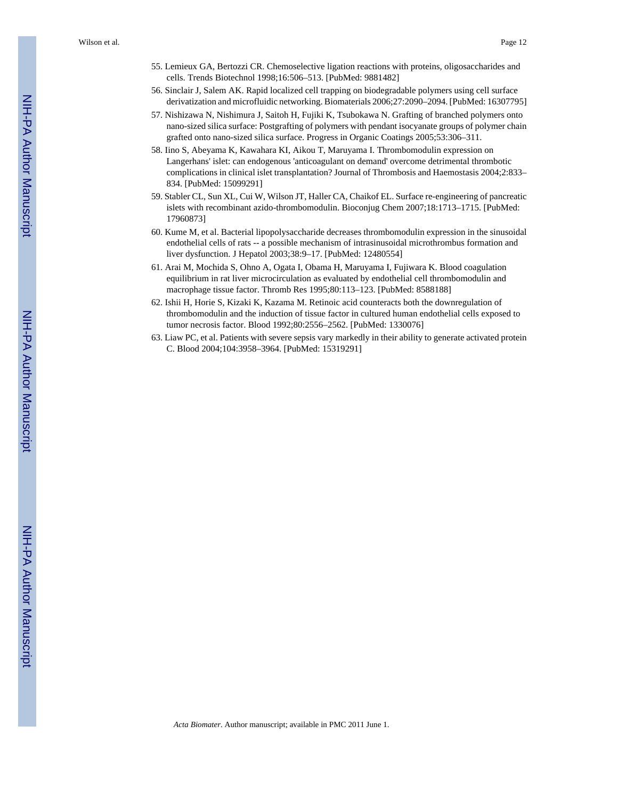- 55. Lemieux GA, Bertozzi CR. Chemoselective ligation reactions with proteins, oligosaccharides and cells. Trends Biotechnol 1998;16:506–513. [PubMed: 9881482]
- 56. Sinclair J, Salem AK. Rapid localized cell trapping on biodegradable polymers using cell surface derivatization and microfluidic networking. Biomaterials 2006;27:2090–2094. [PubMed: 16307795]
- 57. Nishizawa N, Nishimura J, Saitoh H, Fujiki K, Tsubokawa N. Grafting of branched polymers onto nano-sized silica surface: Postgrafting of polymers with pendant isocyanate groups of polymer chain grafted onto nano-sized silica surface. Progress in Organic Coatings 2005;53:306–311.
- 58. Iino S, Abeyama K, Kawahara KI, Aikou T, Maruyama I. Thrombomodulin expression on Langerhans' islet: can endogenous 'anticoagulant on demand' overcome detrimental thrombotic complications in clinical islet transplantation? Journal of Thrombosis and Haemostasis 2004;2:833– 834. [PubMed: 15099291]
- 59. Stabler CL, Sun XL, Cui W, Wilson JT, Haller CA, Chaikof EL. Surface re-engineering of pancreatic islets with recombinant azido-thrombomodulin. Bioconjug Chem 2007;18:1713–1715. [PubMed: 17960873]
- 60. Kume M, et al. Bacterial lipopolysaccharide decreases thrombomodulin expression in the sinusoidal endothelial cells of rats -- a possible mechanism of intrasinusoidal microthrombus formation and liver dysfunction. J Hepatol 2003;38:9–17. [PubMed: 12480554]
- 61. Arai M, Mochida S, Ohno A, Ogata I, Obama H, Maruyama I, Fujiwara K. Blood coagulation equilibrium in rat liver microcirculation as evaluated by endothelial cell thrombomodulin and macrophage tissue factor. Thromb Res 1995;80:113–123. [PubMed: 8588188]
- 62. Ishii H, Horie S, Kizaki K, Kazama M. Retinoic acid counteracts both the downregulation of thrombomodulin and the induction of tissue factor in cultured human endothelial cells exposed to tumor necrosis factor. Blood 1992;80:2556–2562. [PubMed: 1330076]
- 63. Liaw PC, et al. Patients with severe sepsis vary markedly in their ability to generate activated protein C. Blood 2004;104:3958–3964. [PubMed: 15319291]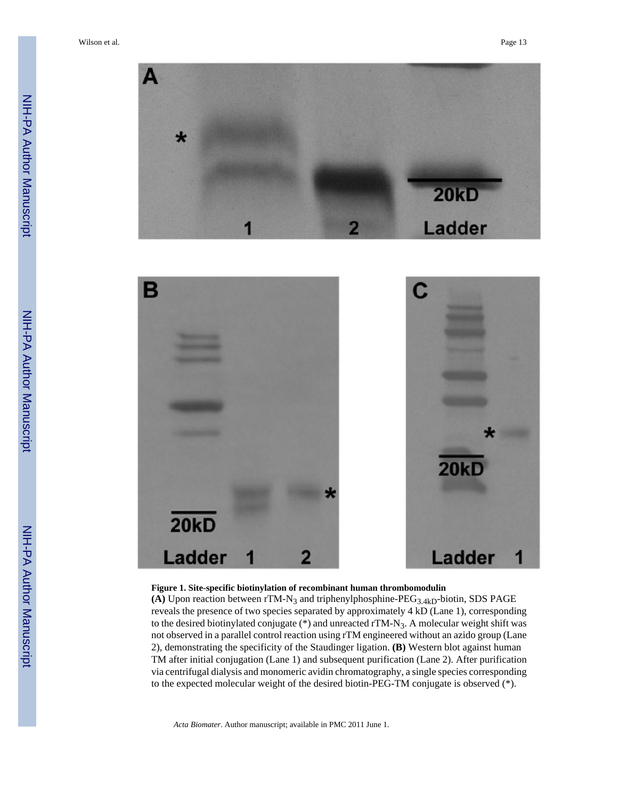

#### **Figure 1. Site-specific biotinylation of recombinant human thrombomodulin**

(A) Upon reaction between  $rT M-N_3$  and triphenylphosphine-PEG<sub>3.4kD</sub>-biotin, SDS PAGE reveals the presence of two species separated by approximately 4 kD (Lane 1), corresponding to the desired biotinylated conjugate (\*) and unreacted rTM-N<sub>3</sub>. A molecular weight shift was not observed in a parallel control reaction using rTM engineered without an azido group (Lane 2), demonstrating the specificity of the Staudinger ligation. **(B)** Western blot against human TM after initial conjugation (Lane 1) and subsequent purification (Lane 2). After purification via centrifugal dialysis and monomeric avidin chromatography, a single species corresponding to the expected molecular weight of the desired biotin-PEG-TM conjugate is observed (\*).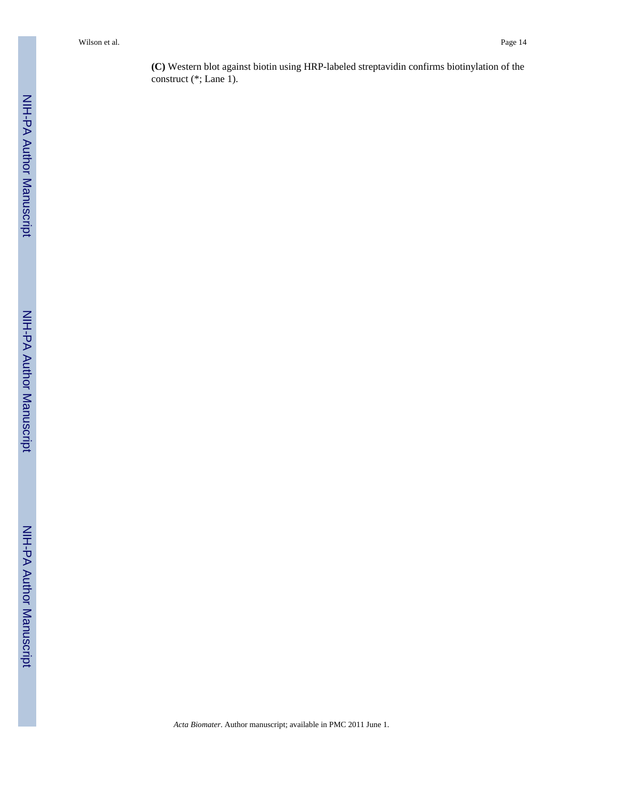**(C)** Western blot against biotin using HRP-labeled streptavidin confirms biotinylation of the construct (\*; Lane 1).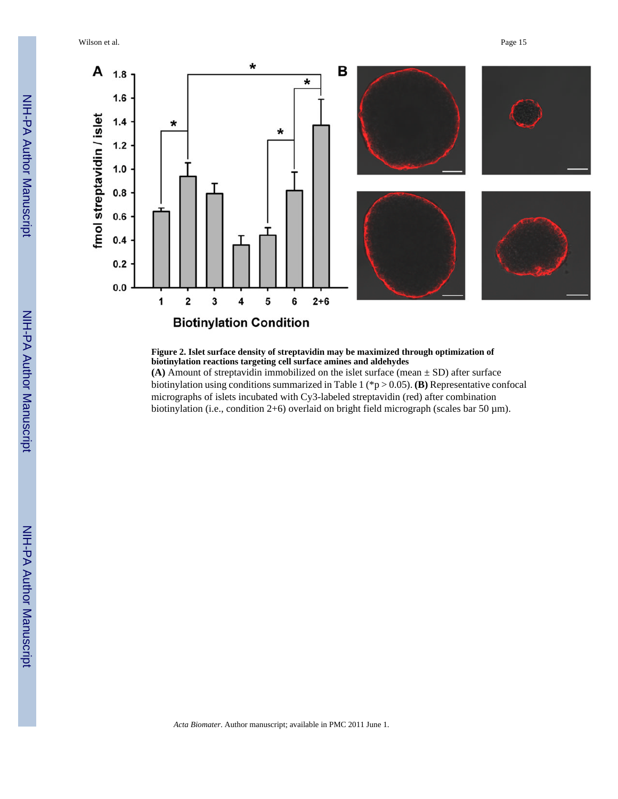Wilson et al. Page 15



#### **Figure 2. Islet surface density of streptavidin may be maximized through optimization of biotinylation reactions targeting cell surface amines and aldehydes**

**(A)** Amount of streptavidin immobilized on the islet surface (mean  $\pm$  SD) after surface biotinylation using conditions summarized in Table 1 (\*p > 0.05). **(B)** Representative confocal micrographs of islets incubated with Cy3-labeled streptavidin (red) after combination biotinylation (i.e., condition 2+6) overlaid on bright field micrograph (scales bar 50 µm).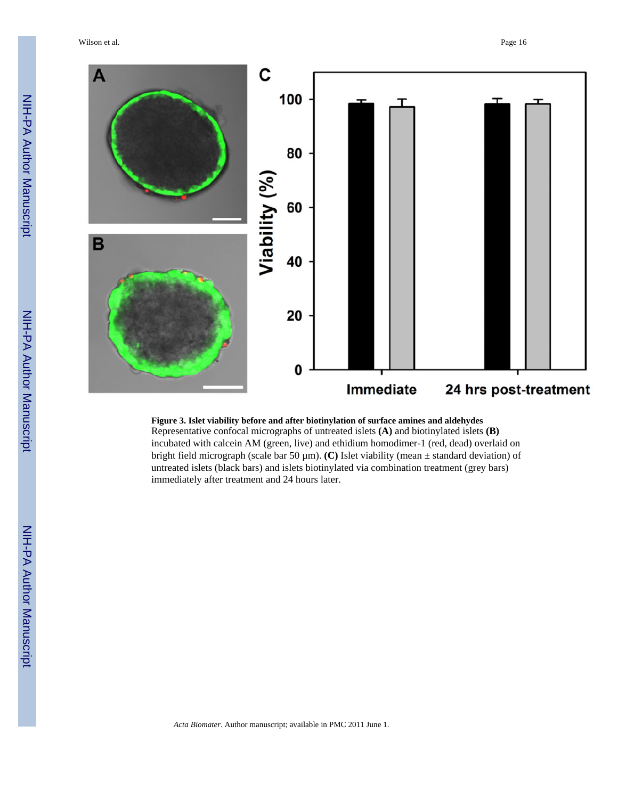Wilson et al. **Page 16** 



#### **Figure 3. Islet viability before and after biotinylation of surface amines and aldehydes** Representative confocal micrographs of untreated islets **(A)** and biotinylated islets **(B)** incubated with calcein AM (green, live) and ethidium homodimer-1 (red, dead) overlaid on bright field micrograph (scale bar 50 µm). **(C)** Islet viability (mean ± standard deviation) of untreated islets (black bars) and islets biotinylated via combination treatment (grey bars) immediately after treatment and 24 hours later.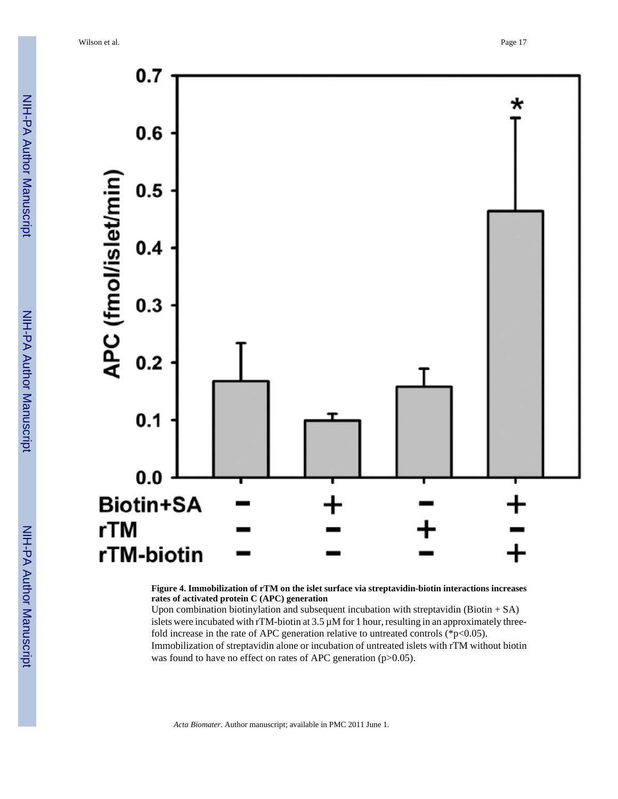

**Figure 4. Immobilization of rTM on the islet surface via streptavidin-biotin interactions increases rates of activated protein C (APC) generation**

Upon combination biotinylation and subsequent incubation with streptavidin (Biotin + SA) islets were incubated with rTM-biotin at 3.5  $\mu$ M for 1 hour, resulting in an approximately threefold increase in the rate of APC generation relative to untreated controls ( $p<0.05$ ). Immobilization of streptavidin alone or incubation of untreated islets with rTM without biotin was found to have no effect on rates of APC generation (p>0.05).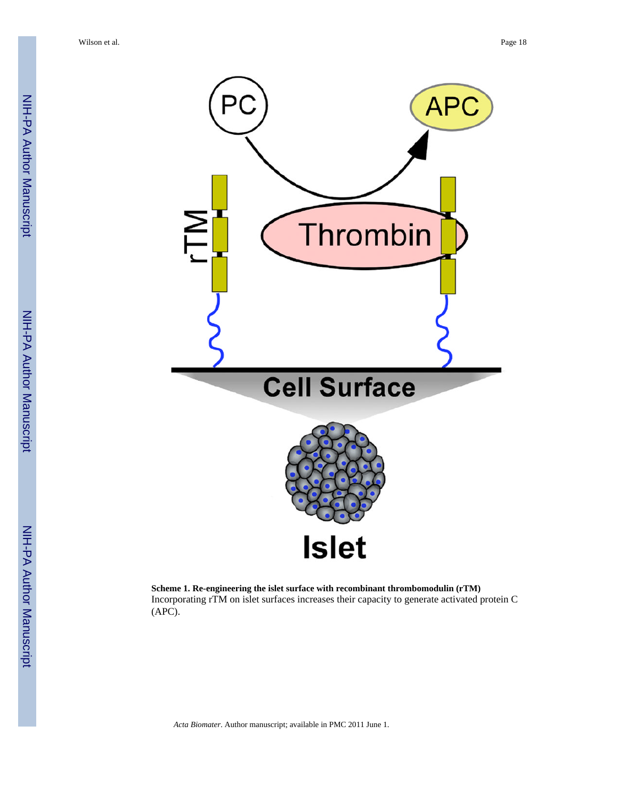

**Scheme 1. Re-engineering the islet surface with recombinant thrombomodulin (rTM)** Incorporating rTM on islet surfaces increases their capacity to generate activated protein C (APC).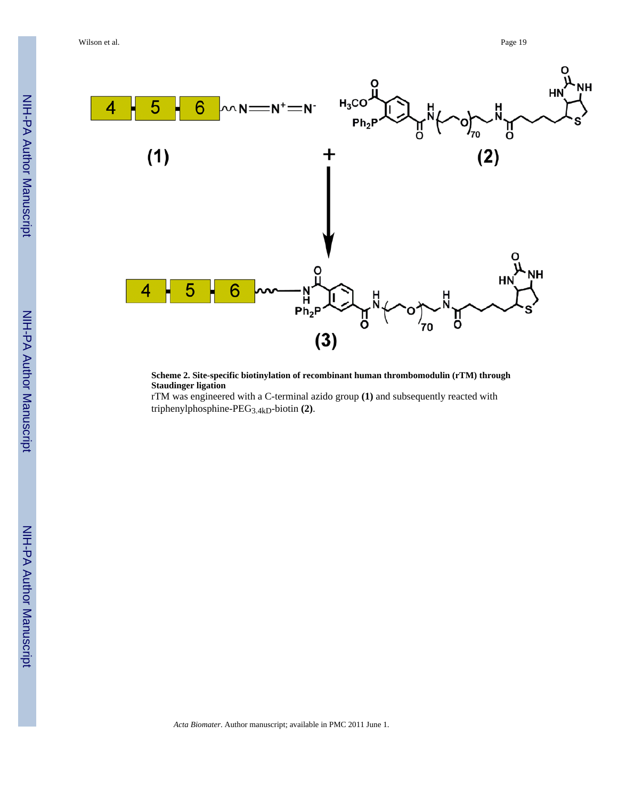

**Scheme 2. Site-specific biotinylation of recombinant human thrombomodulin (rTM) through Staudinger ligation**

rTM was engineered with a C-terminal azido group **(1)** and subsequently reacted with triphenylphosphine-PEG3.4kD-biotin **(2)**.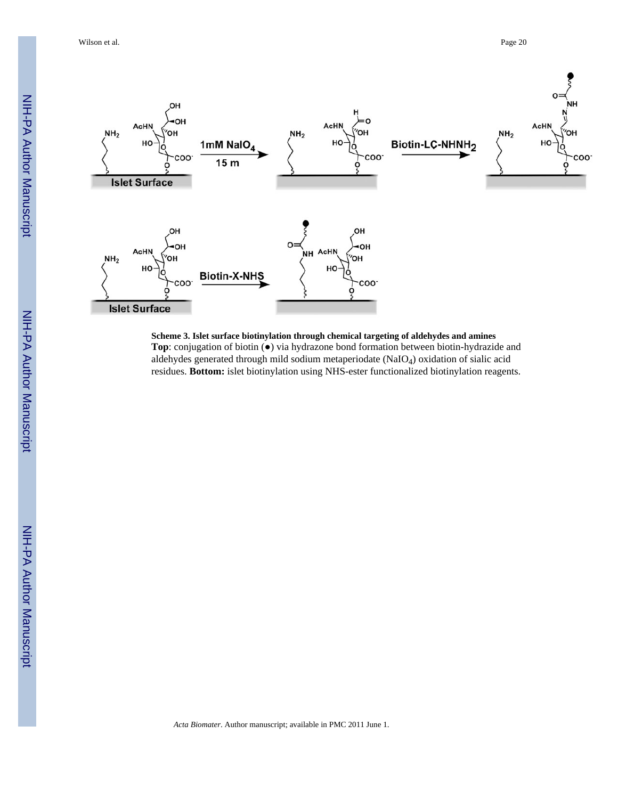

**Scheme 3. Islet surface biotinylation through chemical targeting of aldehydes and amines Top**: conjugation of biotin (●) via hydrazone bond formation between biotin-hydrazide and aldehydes generated through mild sodium metaperiodate (NaIO4) oxidation of sialic acid residues. **Bottom:** islet biotinylation using NHS-ester functionalized biotinylation reagents.